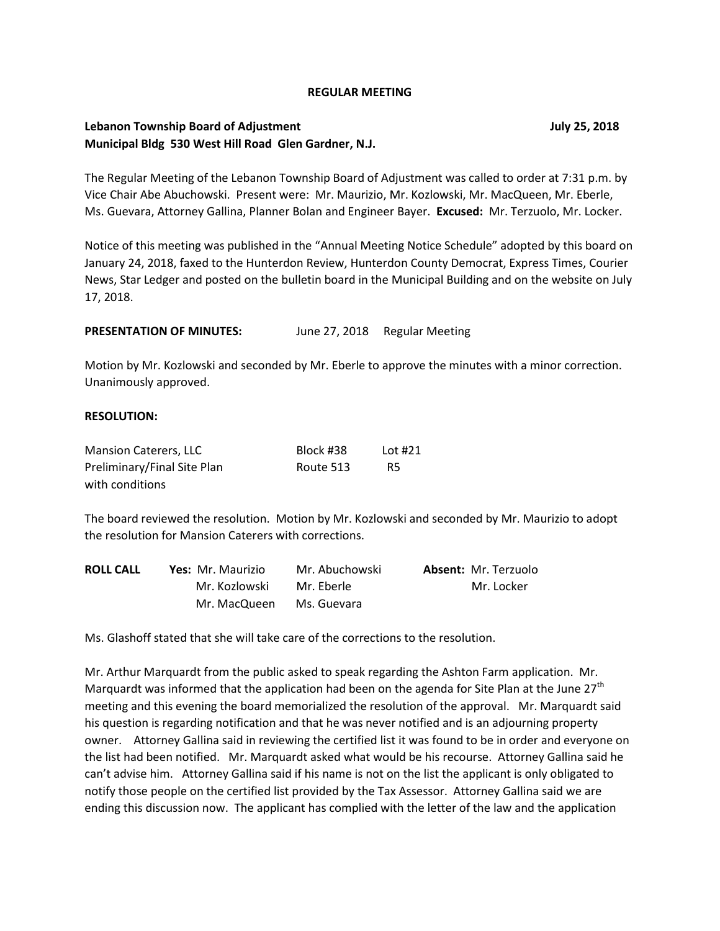#### **REGULAR MEETING**

## **Lebanon Township Board of Adjustment July 25, 2018 Municipal Bldg 530 West Hill Road Glen Gardner, N.J.**

The Regular Meeting of the Lebanon Township Board of Adjustment was called to order at 7:31 p.m. by Vice Chair Abe Abuchowski. Present were: Mr. Maurizio, Mr. Kozlowski, Mr. MacQueen, Mr. Eberle, Ms. Guevara, Attorney Gallina, Planner Bolan and Engineer Bayer. **Excused:** Mr. Terzuolo, Mr. Locker.

Notice of this meeting was published in the "Annual Meeting Notice Schedule" adopted by this board on January 24, 2018, faxed to the Hunterdon Review, Hunterdon County Democrat, Express Times, Courier News, Star Ledger and posted on the bulletin board in the Municipal Building and on the website on July 17, 2018.

**PRESENTATION OF MINUTES:** June 27, 2018 Regular Meeting

Motion by Mr. Kozlowski and seconded by Mr. Eberle to approve the minutes with a minor correction. Unanimously approved.

#### **RESOLUTION:**

| <b>Mansion Caterers, LLC</b> | Block #38 | Lot #21   |
|------------------------------|-----------|-----------|
| Preliminary/Final Site Plan  | Route 513 | <b>R5</b> |
| with conditions              |           |           |

The board reviewed the resolution. Motion by Mr. Kozlowski and seconded by Mr. Maurizio to adopt the resolution for Mansion Caterers with corrections.

| <b>ROLL CALL</b> | Yes: Mr. Maurizio | Mr. Abuchowski | <b>Absent: Mr. Terzuolo</b> |
|------------------|-------------------|----------------|-----------------------------|
|                  | Mr. Kozlowski     | Mr. Eberle     | Mr. Locker                  |
|                  | Mr. MacQueen      | Ms. Guevara    |                             |

Ms. Glashoff stated that she will take care of the corrections to the resolution.

Mr. Arthur Marquardt from the public asked to speak regarding the Ashton Farm application. Mr. Marquardt was informed that the application had been on the agenda for Site Plan at the June 27<sup>th</sup> meeting and this evening the board memorialized the resolution of the approval. Mr. Marquardt said his question is regarding notification and that he was never notified and is an adjourning property owner. Attorney Gallina said in reviewing the certified list it was found to be in order and everyone on the list had been notified. Mr. Marquardt asked what would be his recourse. Attorney Gallina said he can't advise him. Attorney Gallina said if his name is not on the list the applicant is only obligated to notify those people on the certified list provided by the Tax Assessor. Attorney Gallina said we are ending this discussion now. The applicant has complied with the letter of the law and the application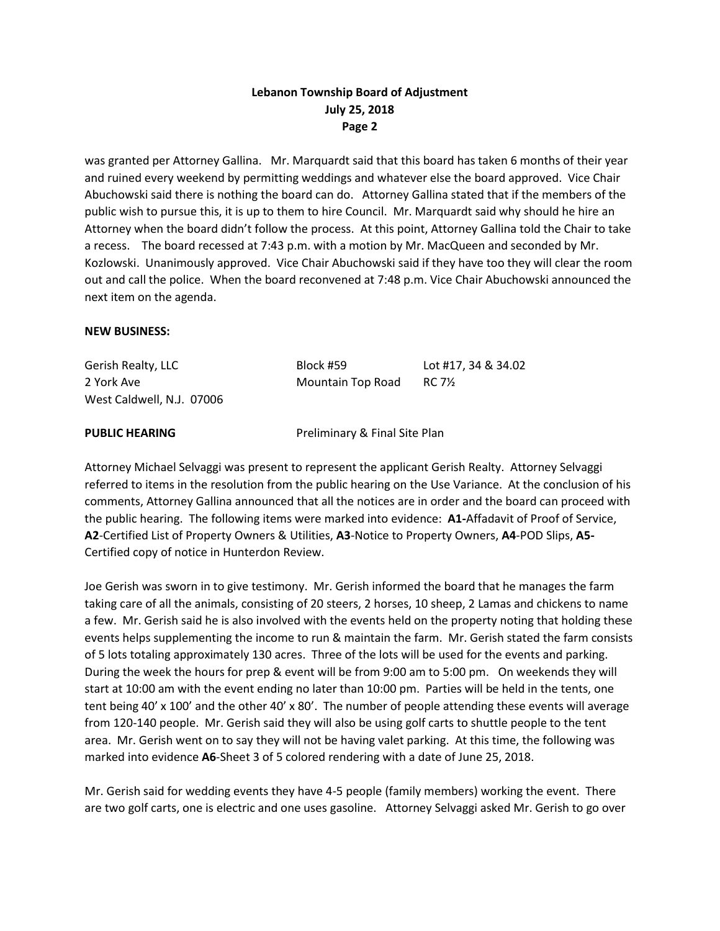was granted per Attorney Gallina. Mr. Marquardt said that this board has taken 6 months of their year and ruined every weekend by permitting weddings and whatever else the board approved. Vice Chair Abuchowski said there is nothing the board can do. Attorney Gallina stated that if the members of the public wish to pursue this, it is up to them to hire Council. Mr. Marquardt said why should he hire an Attorney when the board didn't follow the process. At this point, Attorney Gallina told the Chair to take a recess. The board recessed at 7:43 p.m. with a motion by Mr. MacQueen and seconded by Mr. Kozlowski. Unanimously approved. Vice Chair Abuchowski said if they have too they will clear the room out and call the police. When the board reconvened at 7:48 p.m. Vice Chair Abuchowski announced the next item on the agenda.

### **NEW BUSINESS:**

| Gerish Realty, LLC        | Block #59         | Lot #17, 34 & 34.02 |
|---------------------------|-------------------|---------------------|
| 2 York Ave                | Mountain Top Road | RC 7½               |
| West Caldwell, N.J. 07006 |                   |                     |

**PUBLIC HEARING** Preliminary & Final Site Plan

Attorney Michael Selvaggi was present to represent the applicant Gerish Realty. Attorney Selvaggi referred to items in the resolution from the public hearing on the Use Variance. At the conclusion of his comments, Attorney Gallina announced that all the notices are in order and the board can proceed with the public hearing. The following items were marked into evidence: **A1-**Affadavit of Proof of Service, **A2**-Certified List of Property Owners & Utilities, **A3**-Notice to Property Owners, **A4**-POD Slips, **A5-** Certified copy of notice in Hunterdon Review.

Joe Gerish was sworn in to give testimony. Mr. Gerish informed the board that he manages the farm taking care of all the animals, consisting of 20 steers, 2 horses, 10 sheep, 2 Lamas and chickens to name a few. Mr. Gerish said he is also involved with the events held on the property noting that holding these events helps supplementing the income to run & maintain the farm. Mr. Gerish stated the farm consists of 5 lots totaling approximately 130 acres. Three of the lots will be used for the events and parking. During the week the hours for prep & event will be from 9:00 am to 5:00 pm. On weekends they will start at 10:00 am with the event ending no later than 10:00 pm. Parties will be held in the tents, one tent being 40' x 100' and the other 40' x 80'. The number of people attending these events will average from 120-140 people. Mr. Gerish said they will also be using golf carts to shuttle people to the tent area. Mr. Gerish went on to say they will not be having valet parking. At this time, the following was marked into evidence **A6**-Sheet 3 of 5 colored rendering with a date of June 25, 2018.

Mr. Gerish said for wedding events they have 4-5 people (family members) working the event. There are two golf carts, one is electric and one uses gasoline. Attorney Selvaggi asked Mr. Gerish to go over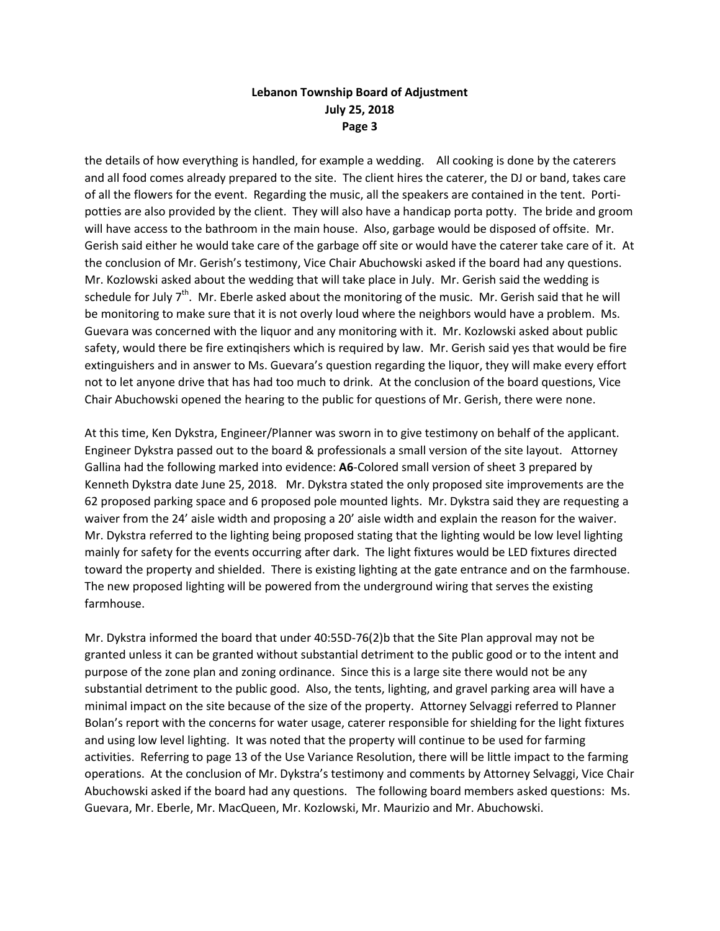the details of how everything is handled, for example a wedding. All cooking is done by the caterers and all food comes already prepared to the site. The client hires the caterer, the DJ or band, takes care of all the flowers for the event. Regarding the music, all the speakers are contained in the tent. Portipotties are also provided by the client. They will also have a handicap porta potty. The bride and groom will have access to the bathroom in the main house. Also, garbage would be disposed of offsite. Mr. Gerish said either he would take care of the garbage off site or would have the caterer take care of it. At the conclusion of Mr. Gerish's testimony, Vice Chair Abuchowski asked if the board had any questions. Mr. Kozlowski asked about the wedding that will take place in July. Mr. Gerish said the wedding is schedule for July  $7<sup>th</sup>$ . Mr. Eberle asked about the monitoring of the music. Mr. Gerish said that he will be monitoring to make sure that it is not overly loud where the neighbors would have a problem. Ms. Guevara was concerned with the liquor and any monitoring with it. Mr. Kozlowski asked about public safety, would there be fire extinqishers which is required by law. Mr. Gerish said yes that would be fire extinguishers and in answer to Ms. Guevara's question regarding the liquor, they will make every effort not to let anyone drive that has had too much to drink. At the conclusion of the board questions, Vice Chair Abuchowski opened the hearing to the public for questions of Mr. Gerish, there were none.

At this time, Ken Dykstra, Engineer/Planner was sworn in to give testimony on behalf of the applicant. Engineer Dykstra passed out to the board & professionals a small version of the site layout. Attorney Gallina had the following marked into evidence: **A6**-Colored small version of sheet 3 prepared by Kenneth Dykstra date June 25, 2018. Mr. Dykstra stated the only proposed site improvements are the 62 proposed parking space and 6 proposed pole mounted lights. Mr. Dykstra said they are requesting a waiver from the 24' aisle width and proposing a 20' aisle width and explain the reason for the waiver. Mr. Dykstra referred to the lighting being proposed stating that the lighting would be low level lighting mainly for safety for the events occurring after dark. The light fixtures would be LED fixtures directed toward the property and shielded. There is existing lighting at the gate entrance and on the farmhouse. The new proposed lighting will be powered from the underground wiring that serves the existing farmhouse.

Mr. Dykstra informed the board that under 40:55D-76(2)b that the Site Plan approval may not be granted unless it can be granted without substantial detriment to the public good or to the intent and purpose of the zone plan and zoning ordinance. Since this is a large site there would not be any substantial detriment to the public good. Also, the tents, lighting, and gravel parking area will have a minimal impact on the site because of the size of the property. Attorney Selvaggi referred to Planner Bolan's report with the concerns for water usage, caterer responsible for shielding for the light fixtures and using low level lighting. It was noted that the property will continue to be used for farming activities. Referring to page 13 of the Use Variance Resolution, there will be little impact to the farming operations. At the conclusion of Mr. Dykstra's testimony and comments by Attorney Selvaggi, Vice Chair Abuchowski asked if the board had any questions. The following board members asked questions: Ms. Guevara, Mr. Eberle, Mr. MacQueen, Mr. Kozlowski, Mr. Maurizio and Mr. Abuchowski.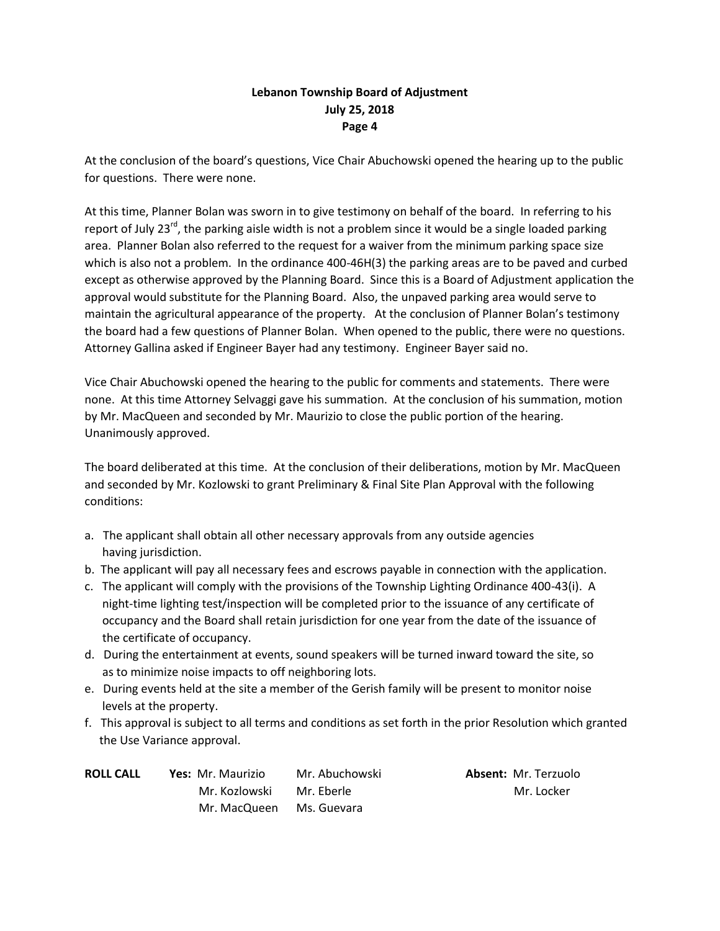At the conclusion of the board's questions, Vice Chair Abuchowski opened the hearing up to the public for questions. There were none.

At this time, Planner Bolan was sworn in to give testimony on behalf of the board. In referring to his report of July 23<sup>rd</sup>, the parking aisle width is not a problem since it would be a single loaded parking area. Planner Bolan also referred to the request for a waiver from the minimum parking space size which is also not a problem. In the ordinance 400-46H(3) the parking areas are to be paved and curbed except as otherwise approved by the Planning Board. Since this is a Board of Adjustment application the approval would substitute for the Planning Board. Also, the unpaved parking area would serve to maintain the agricultural appearance of the property. At the conclusion of Planner Bolan's testimony the board had a few questions of Planner Bolan. When opened to the public, there were no questions. Attorney Gallina asked if Engineer Bayer had any testimony. Engineer Bayer said no.

Vice Chair Abuchowski opened the hearing to the public for comments and statements. There were none. At this time Attorney Selvaggi gave his summation. At the conclusion of his summation, motion by Mr. MacQueen and seconded by Mr. Maurizio to close the public portion of the hearing. Unanimously approved.

The board deliberated at this time. At the conclusion of their deliberations, motion by Mr. MacQueen and seconded by Mr. Kozlowski to grant Preliminary & Final Site Plan Approval with the following conditions:

- a. The applicant shall obtain all other necessary approvals from any outside agencies having jurisdiction.
- b. The applicant will pay all necessary fees and escrows payable in connection with the application.
- c. The applicant will comply with the provisions of the Township Lighting Ordinance 400-43(i). A night-time lighting test/inspection will be completed prior to the issuance of any certificate of occupancy and the Board shall retain jurisdiction for one year from the date of the issuance of the certificate of occupancy.
- d. During the entertainment at events, sound speakers will be turned inward toward the site, so as to minimize noise impacts to off neighboring lots.
- e. During events held at the site a member of the Gerish family will be present to monitor noise levels at the property.
- f. This approval is subject to all terms and conditions as set forth in the prior Resolution which granted the Use Variance approval.

| <b>ROLL CALL</b> | Yes: Mr. Maurizio | Mr. Abuchowski |
|------------------|-------------------|----------------|
|                  | Mr. Kozlowski     | Mr. Eberle     |
|                  | Mr. MacQueen      | Ms. Guevara    |

**Absent: Mr. Terzuolo** Mr. Locker